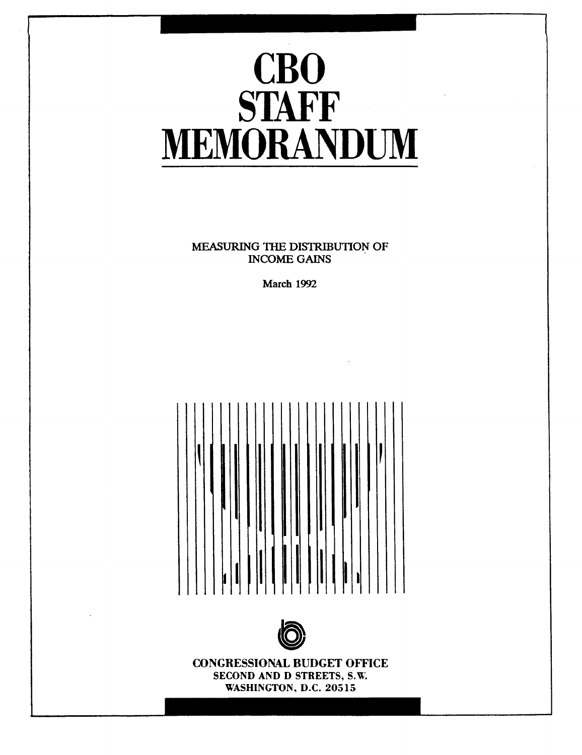# CBO **STAFF** MEMORANDUM

MEASURING THE DISTRIBUTION OF INCOME GAINS

March 1992

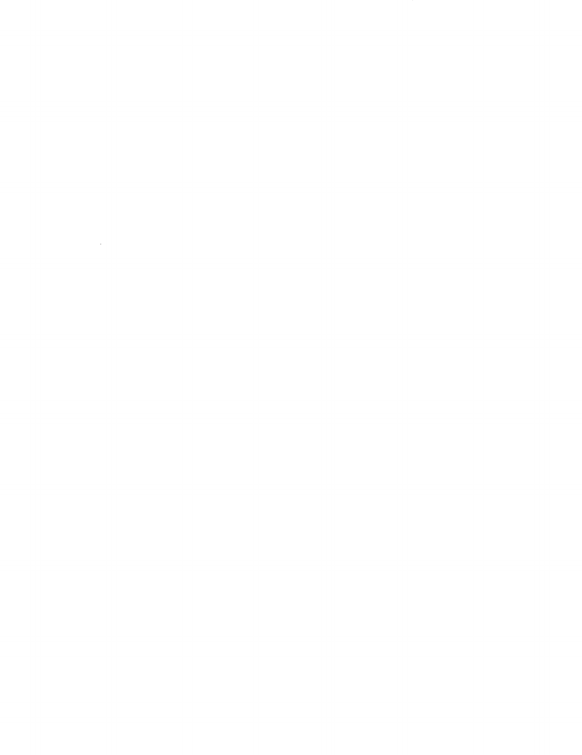$\label{eq:2.1} \mathcal{L}(\mathcal{L}^{\text{max}}_{\mathcal{L}}(\mathcal{L}^{\text{max}}_{\mathcal{L}})) \leq \mathcal{L}(\mathcal{L}^{\text{max}}_{\mathcal{L}}(\mathcal{L}^{\text{max}}_{\mathcal{L}}))$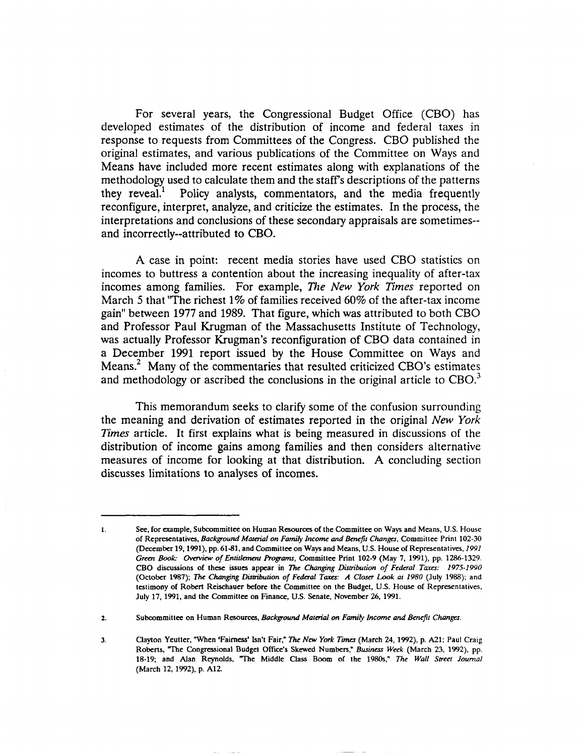For several years, the Congressional Budget Office (CBO) has developed estimates of the distribution of income and federal taxes in response to requests from Committees of the Congress. CBO published the original estimates, and various publications of the Committee on Ways and Means have included more recent estimates along with explanations of the methodology used to calculate them and the staff's descriptions of the patterns they reveal.<sup>1</sup> Policy analysts, commentators, and the media frequently reconfigure, interpret, analyze, and criticize the estimates. In the process, the interpretations and conclusions of these secondary appraisals are sometimesand incorrectly-attributed to CBO.

A case in point: recent media stories have used CBO statistics on incomes to buttress a contention about the increasing inequality of after-tax incomes among families. For example, *The New York Times* reported on March 5 that "The richest 1% of families received 60% of the after-tax income gain" between 1977 and 1989. That figure, which was attributed to both CBO and Professor Paul Krugman of the Massachusetts Institute of Technology, was actually Professor Krugman's reconfiguration of CBO data contained in a December 1991 report issued by the House Committee on Ways and Means.<sup>2</sup> Many of the commentaries that resulted criticized CBO's estimates and methodology or ascribed the conclusions in the original article to  $CBO$ <sup>3</sup>

This memorandum seeks to clarify some of the confusion surrounding the meaning and derivation of estimates reported in the original *New York Times* article. It first explains what is being measured in discussions of the distribution of income gains among families and then considers alternative measures of income for looking at that distribution. A concluding section discusses limitations to analyses of incomes.

 $\mathbf{I}$ . **See, for example, Subcommittee on Human Resources of the Committee on Ways and Means, U.S. House of Representatives,** *Background Material on Family Income and Benefit Changes,* **Committee Print 102-30 (December 19,1991), pp. 61-81, and Committee on Ways and Means, U.S. House of Representatives, 7997** *Green Book Overview of Entitlement Programs,* **Committee Print 102-9 (May 7, 1991), pp. 1286-1329. CBO discussions of these issues appear in** *The Changing Distribution of Federal Taxes: 1975-1990* **(October 1987);** *The Changing Distribution of Federal Taxes: A Closer Look at 1980* **(July 1988); and testimony of Robert Reischauer before the Committee on the Budget, U.S. House of Representatives, July 17, 1991, and the Committee on Finance, U.S. Senate, November 26, 1991.**

 $\overline{2}$ . **Subcommittee on Human Resources,** *Background Material on Family Income and Benefit Changes.*

**Clayton Yeutter, "When 'Fairness' kn't Fair,"** *The New York Tones* **(March 24, 1992), p. A21; Paul Craig**  $\overline{3}$ . **Roberts, The Congressional Budget Office's Skewed Numbers,"** *Business Week* **(March 23, 1992), pp. 18-19; and Alan Reynolds, The Middle Class Boom of the 1980s,"** *The Wall Street Journal* **(March 12, 1992), p. A12.**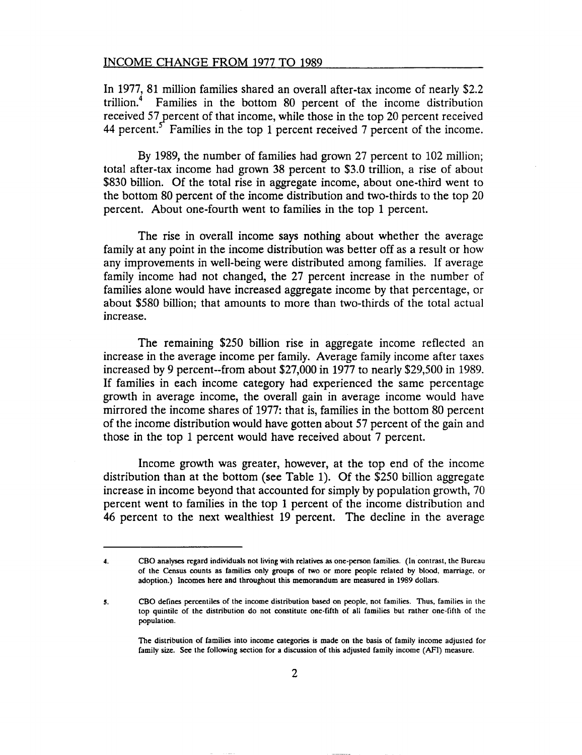#### INCOME CHANGE FROM 1977 TO 1989

In 1977, 81 million families shared an overall after-tax income of nearly \$2.2 trillion.<sup>4</sup> Families in the bottom 80 percent of the income distribution received 57 percent of that income, while those in the top 20 percent received 44 percent.<sup>5</sup> Families in the top 1 percent received 7 percent of the income.

By 1989, the number of families had grown 27 percent to 102 million; total after-tax income had grown 38 percent to \$3.0 trillion, a rise of about \$830 billion. Of the total rise in aggregate income, about one-third went to the bottom 80 percent of the income distribution and two-thirds to the top 20 percent. About one-fourth went to families in the top 1 percent.

The rise in overall income says nothing about whether the average family at any point in the income distribution was better off as a result or how any improvements in well-being were distributed among families. If average family income had not changed, the 27 percent increase in the number of families alone would have increased aggregate income by that percentage, or about \$580 billion; that amounts to more than two-thirds of the total actual increase.

The remaining \$250 billion rise in aggregate income reflected an increase in the average income per family. Average family income after taxes increased by 9 percent-from about \$27,000 in 1977 to nearly \$29,500 in 1989. If families in each income category had experienced the same percentage growth in average income, the overall gain in average income would have mirrored the income shares of 1977: that is, families in the bottom 80 percent of the income distribution would have gotten about 57 percent of the gain and those in the top 1 percent would have received about 7 percent.

Income growth was greater, however, at the top end of the income distribution than at the bottom (see Table 1). Of the \$250 billion aggregate increase in income beyond that accounted for simply by population growth, 70 percent went to families in the top 1 percent of the income distribution and 46 percent to the next wealthiest 19 percent. The decline in the average

 $\ddot{\mathbf{4}}$ . **CBO analyses regard individuals not living with relatives as one-person families. (In contrast, the Bureau of the Census counts as families only groups of two or more people related by blood, marriage, or adoption.) Incomes here and throughout this memorandum are measured in 1989 dollars.**

 $\mathbf{5}$ . **CBO defines percentiles of the income distribution based on people, not families. Thus, families in the top quintile of the distribution do not constitute one-fifth of all families but rather one-fifth of the population.**

**The distribution of families into income categories is made on the basis of family income adjusted for family size. See the following section for a discussion of this adjusted family income (API) measure.**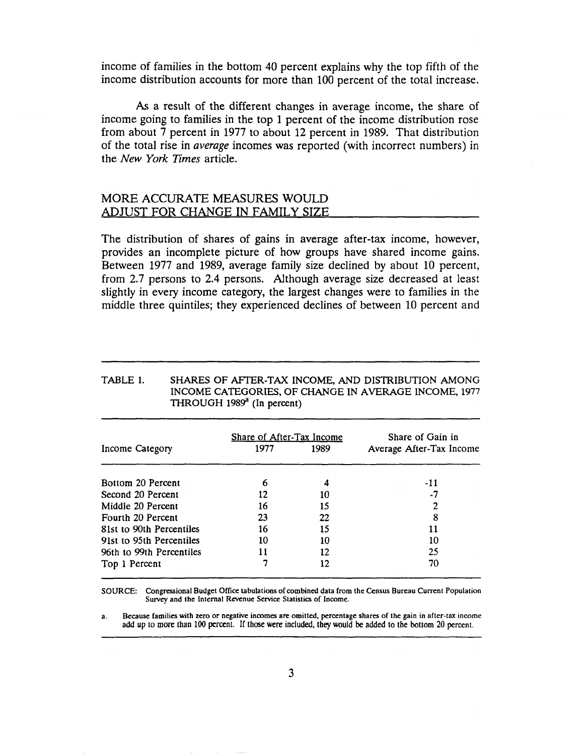income of families in the bottom 40 percent explains why the top fifth of the income distribution accounts for more than 100 percent of the total increase.

As a result of the different changes in average income, the share of income going to families in the top 1 percent of the income distribution rose from about 7 percent in 1977 to about 12 percent in 1989. That distribution of the total rise in *average* incomes was reported (with incorrect numbers) in the *New York Times* article.

# MORE ACCURATE MEASURES WOULD ADJUST FOR CHANGE IN FAMILY SIZE

The distribution of shares of gains in average after-tax income, however, provides an incomplete picture of how groups have shared income gains. Between 1977 and 1989, average family size declined by about 10 percent, from 2.7 persons to 2.4 persons. Although average size decreased at least slightly in every income category, the largest changes were to families in the middle three quintiles; they experienced declines of between 10 percent and

## TABLE 1. SHARES OF AFTER-TAX INCOME, AND DISTRIBUTION AMONG INCOME CATEGORIES, OF CHANGE IN AVERAGE INCOME, 1977 THROUGH 1989<sup>3</sup> (In percent)

|                          | <b>Share of After-Tax Income</b> |      | Share of Gain in         |  |
|--------------------------|----------------------------------|------|--------------------------|--|
| Income Category          | 1977                             | 1989 | Average After-Tax Income |  |
| Bottom 20 Percent        | 6                                | 4    | -11                      |  |
| Second 20 Percent        | 12                               | 10   | -7                       |  |
| Middle 20 Percent        | 16                               | 15   |                          |  |
| Fourth 20 Percent        | 23                               | 22   | 8                        |  |
| 81st to 90th Percentiles | 16                               | 15   | 11                       |  |
| 91st to 95th Percentiles | 10                               | 10   | 10                       |  |
| 96th to 99th Percentiles |                                  | 12   | 25                       |  |
| Top 1 Percent            |                                  | 12   | 70                       |  |

SOURCE: Congressional Budget Office tabulations of combined data from the Census Bureau Current Population Survey and the Internal Revenue Service Statistics of Income.

Because families with zero or negative incomes are omitted, percentage shares of the gain in after-tax income add up to more than 100 percent. If those were included, they would be added to the bottom 20 percent.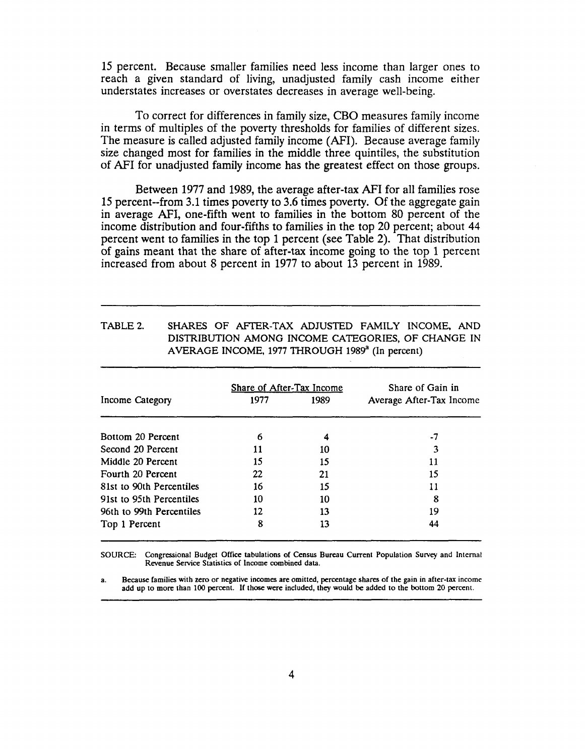15 percent. Because smaller families need less income than larger ones to reach a given standard of living, unadjusted family cash income either understates increases or overstates decreases in average well-being.

To correct for differences in family size, CBO measures family income in terms of multiples of the poverty thresholds for families of different sizes. The measure is called adjusted family income (API). Because average family size changed most for families in the middle three quintiles, the substitution of API for unadjusted family income has the greatest effect on those groups.

Between 1977 and 1989, the average after-tax API for all families rose 15 percent—from 3.1 times poverty to 3.6 times poverty. Of the aggregate gain in average API, one-fifth went to families in the bottom 80 percent of the income distribution and four-fifths to families in the top 20 percent; about 44 percent went to families in the top 1 percent (see Table 2). That distribution of gains meant that the share of after-tax income going to the top 1 percent increased from about 8 percent in 1977 to about 13 percent in 1989.

| TABLE 2. | SHARES OF AFTER-TAX ADJUSTED FAMILY INCOME, AND             |
|----------|-------------------------------------------------------------|
|          | DISTRIBUTION AMONG INCOME CATEGORIES, OF CHANGE IN          |
|          | AVERAGE INCOME, 1977 THROUGH 1989 <sup>a</sup> (In percent) |

|                          | Share of After-Tax Income |      | Share of Gain in         |  |
|--------------------------|---------------------------|------|--------------------------|--|
| Income Category          | 1977                      | 1989 | Average After-Tax Income |  |
| Bottom 20 Percent        | 6                         | 4    | -7                       |  |
| Second 20 Percent        | 11                        | 10   | 3                        |  |
| Middle 20 Percent        | 15                        | 15   | 11                       |  |
| Fourth 20 Percent        | 22                        | 21   | 15                       |  |
| 81st to 90th Percentiles | 16                        | 15   | 11                       |  |
| 91st to 95th Percentiles | 10                        | 10   | 8                        |  |
| 96th to 99th Percentiles | 12                        | 13   | 19                       |  |
| Top 1 Percent            | 8                         | 13   | 44                       |  |

**SOURCE: Congressional Budget Office tabulations of Census Bureau Current Population Survey and Internal Revenue Service Statistics of Income combined data.**

**a. Because families with zero or negative incomes are omitted, percentage shares of the gain in after-tax income add up to more than 100 percent. If those were included, they would be added to the bottom 20 percent.**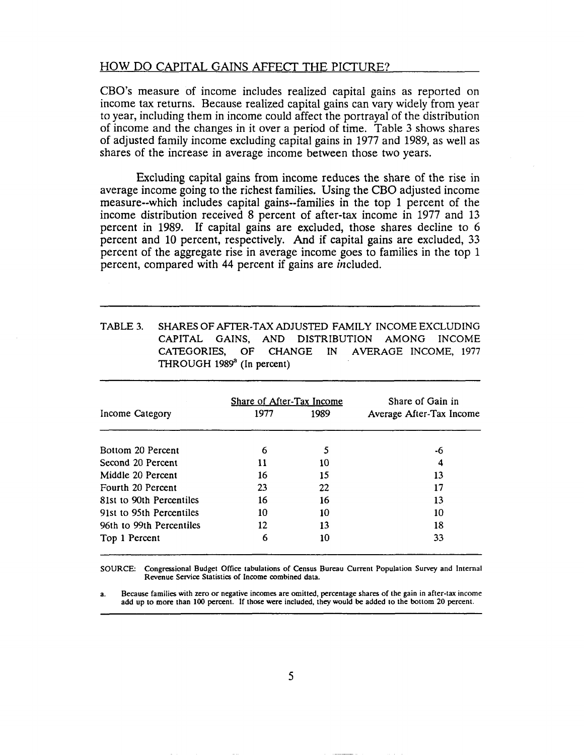## HOW DO CAPITAL GAINS AFFECT THE PICTURE?

CBO's measure of income includes realized capital gains as reported on income tax returns. Because realized capital gains can vary widely from year to year, including them in income could affect the portrayal of the distribution of income and the changes in it over a period of time. Table 3 shows shares of adjusted family income excluding capital gains in 1977 and 1989, as well as shares of the increase in average income between those two years.

Excluding capital gains from income reduces the share of the rise in average income going to the richest families. Using the CBO adjusted income measure-which includes capital gains—families in the top 1 percent of the income distribution received 8 percent of after-tax income in 1977 and 13 percent in 1989. If capital gains are excluded, those shares decline to 6 percent and 10 percent, respectively. And if capital gains are excluded, 33 percent of the aggregate rise in average income goes to families in the top 1 percent, compared with 44 percent if gains are included.

| TABLE 3. SHARES OF AFTER-TAX ADJUSTED FAMILY INCOME EXCLUDING |  |  |  |  |
|---------------------------------------------------------------|--|--|--|--|
| CAPITAL GAINS, AND DISTRIBUTION AMONG INCOME                  |  |  |  |  |
| CATEGORIES, OF CHANGE IN AVERAGE INCOME, 1977                 |  |  |  |  |
| THROUGH $1989a$ (In percent)                                  |  |  |  |  |

|                          | Share of After-Tax Income |      | Share of Gain in         |  |
|--------------------------|---------------------------|------|--------------------------|--|
| Income Category          | 1977                      | 1989 | Average After-Tax Income |  |
| Bottom 20 Percent        | 6                         | 5    | -6                       |  |
| Second 20 Percent        | 11                        | 10   | 4                        |  |
| Middle 20 Percent        | 16                        | 15   | 13                       |  |
| Fourth 20 Percent        | 23                        | 22   | 17                       |  |
| 81st to 90th Percentiles | 16                        | 16   | 13                       |  |
| 91st to 95th Percentiles | 10                        | 10   | 10                       |  |
| 96th to 99th Percentiles | 12                        | 13   | 18                       |  |
| Top 1 Percent            | 6                         | 10   | 33                       |  |

**SOURCE: Congressional Budget Office tabulations of Census Bureau Current Population Survey and Internal Revenue Service Statistics of Income combined data.**

**a. Because families with zero or negative incomes are omitted, percentage shares of the gain in after-tax income add up to more than 100 percent. If those were included, they would be added to the bottom 20 percent.**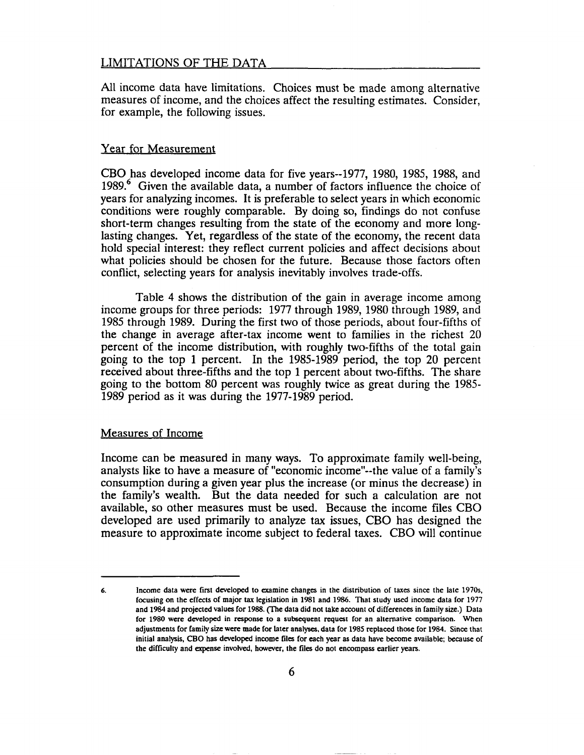#### LIMITATIONS OF THE DATA

All income data have limitations. Choices must be made among alternative measures of income, and the choices affect the resulting estimates. Consider, for example, the following issues.

#### Year for Measurement

CBO has developed income data for five years-1977, 1980, 1985, 1988, and 1989.<sup>6</sup> Given the available data, a number of factors influence the choice of years for analyzing incomes. It is preferable to select years in which economic conditions were roughly comparable. By doing so, findings do not confuse short-term changes resulting from the state of the economy and more longlasting changes. Yet, regardless of the state of the economy, the recent data hold special interest: they reflect current policies and affect decisions about what policies should be chosen for the future. Because those factors often conflict, selecting years for analysis inevitably involves trade-offs.

Table 4 shows the distribution of the gain in average income among income groups for three periods: 1977 through 1989, 1980 through 1989, and 1985 through 1989. During the first two of those periods, about four-fifths of the change in average after-tax income went to families in the richest 20 percent of the income distribution, with roughly two-fifths of the total gain going to the top 1 percent. In the 1985-1989 period, the top 20 percent received about three-fifths and the top 1 percent about two-fifths. The share going to the bottom 80 percent was roughly twice as great during the 1985- 1989 period as it was during the 1977-1989 period.

#### Measures of Income

Income can be measured in many ways. To approximate family well-being, analysts like to have a measure of "economic income"--the value of a family's consumption during a given year plus the increase (or minus the decrease) in the family's wealth. But the data needed for such a calculation are not available, so other measures must be used. Because the income files CBO developed are used primarily to analyze tax issues, CBO has designed the measure to approximate income subject to federal taxes. CBO will continue

<sup>6.</sup> **Income data were first developed to examine changes in the distribution of taxes since the late 1970s, focusing on the effects of major tax legislation in 1981 and 1986. That study used income data for 1977 and 1984 and projected values for 1988. (The data did not take account of differences in family size.) Data for 1980 were developed in response to a subsequent request for an alternative comparison. When adjustments for family size were made for later analyses, data for 1985 replaced those for 1984. Since that initial analysis, CBO has developed income files for each year as data have become available; because of the difficulty and expense involved, however, the files do not encompass earlier years.**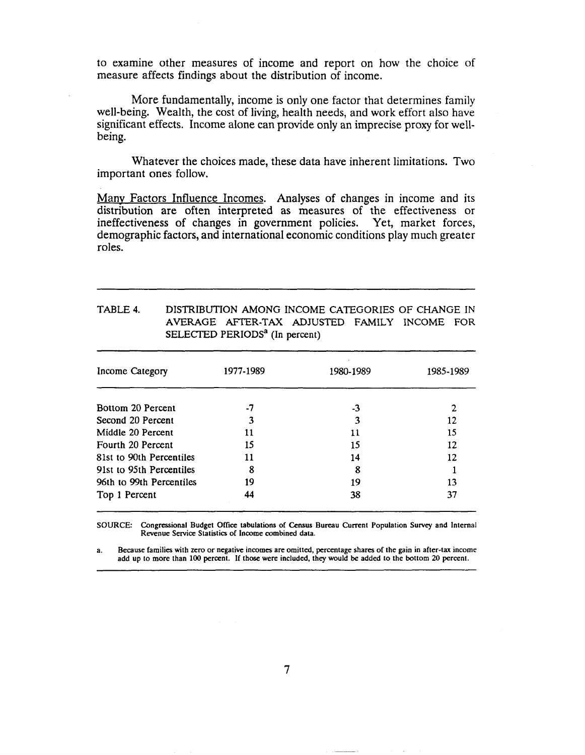to examine other measures of income and report on how the choice of measure affects findings about the distribution of income.

More fundamentally, income is only one factor that determines family well-being. Wealth, the cost of living, health needs, and work effort also have significant effects. Income alone can provide only an imprecise proxy for wellbeing.

Whatever the choices made, these data have inherent limitations. Two important ones follow.

Many Factors Influence Incomes. Analyses of changes in income and its distribution are often interpreted as measures of the effectiveness or ineffectiveness of changes in government policies. Yet, market forces, demographic factors, and international economic conditions play much greater roles.

## TABLE 4. DISTRIBUTION AMONG INCOME CATEGORIES OF CHANGE IN AVERAGE AFTER-TAX ADJUSTED FAMILY INCOME FOR SELECTED PERIODS<sup>a</sup> (In percent)

| Income Category          | 1977-1989 | 1980-1989 | 1985-1989 |  |
|--------------------------|-----------|-----------|-----------|--|
| Bottom 20 Percent        | -7        | -3        |           |  |
| Second 20 Percent        | 3         | 3         | 12        |  |
| Middle 20 Percent        | 11        | 11        | 15        |  |
| Fourth 20 Percent        | 15        | 15        | 12        |  |
| 81st to 90th Percentiles | 11        | 14        | 12        |  |
| 91st to 95th Percentiles | 8         | 8         |           |  |
| 96th to 99th Percentiles | 19        | 19        | 13        |  |
| Top 1 Percent            | 44        | 38        | 37        |  |

**SOURCE: Congressional Budget Office tabulations of Census Bureau Current Population Survey and Internal Revenue Service Statistics of Income combined data.**

**a. Because families with zero or negative incomes are omitted, percentage shares of the gain in after-tax income add up to more than 100 percent. If those were included, they would be added to the bottom 20 percent.**